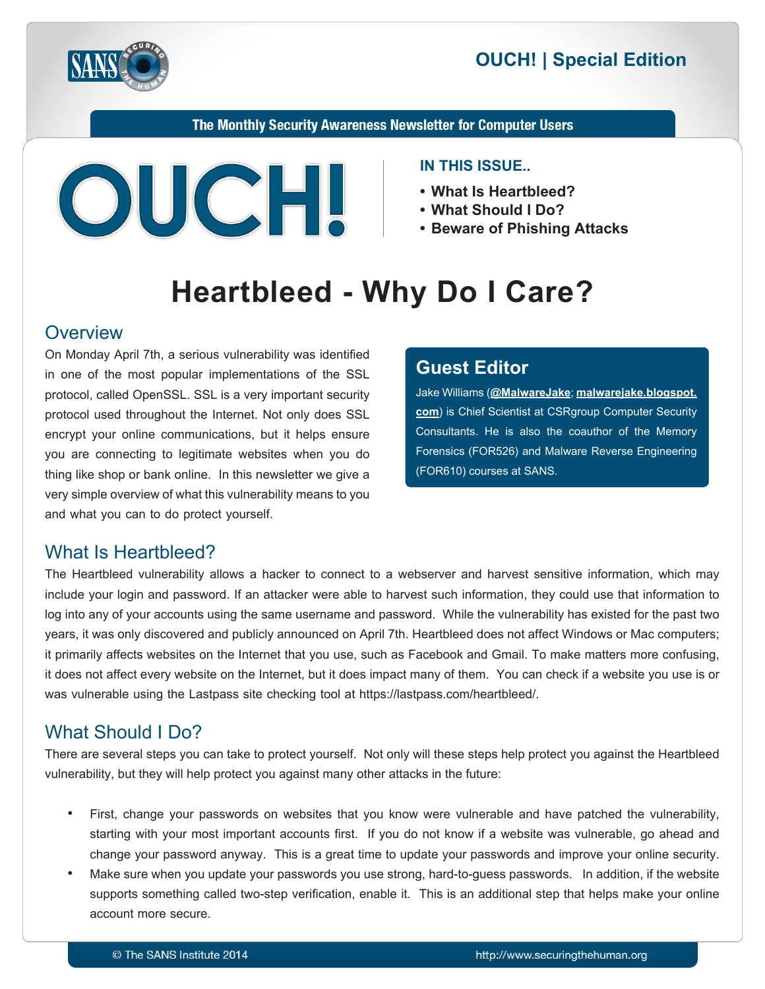



The Monthly Security Awareness Newsletter for Computer Users



#### **IN THIS ISSUE..**

- What Is Heartbleed?
- What Should I Do?
- Beware of Phishing Attacks

# **Heartbleed - Why Do I Care?**

### **Overview**

On Monday April 7th, a serious vulnerability was identified in one of the most popular implementations of the SSL protocol, called OpenSSL. SSL is a very important security protocol used throughout the Internet. Not only does SSL encrypt your online communications, but it helps ensure you are connecting to legitimate websites when you do thing like shop or bank online. In this newsletter we give a very simple overview of what this vulnerability means to you and what you can to do protect yourself.

# **Editor Guest**

Jake Williams (@[MalwareJake](https://twitter.com/MalwareJake); malwarejake.blogspot. [com](http://malwarejake.blogspot.com)) is Chief Scientist at CSRgroup Computer Security Consultants. He is also the coauthor of the Memory Forensics (FOR526) and Malware Reverse Engineering (FOR610) courses at SANS.

# What Is Heartbleed?

The Heartbleed vulnerability allows a hacker to connect to a webserver and harvest sensitive information, which may include your login and password. If an attacker were able to harvest such information, they could use that information to log into any of your accounts using the same username and password. While the vulnerability has existed for the past two years, it was only discovered and publicly announced on April 7th. Heartbleed does not affect Windows or Mac computers; it primarily affects websites on the Internet that you use, such as Facebook and Gmail. To make matters more confusing, it does not affect every website on the Internet, but it does impact many of them. You can check if a website you use is or was vulnerable using the Lastpass site checking tool at https://lastpass.com/heartbleed/.

# What Should I Do?

There are several steps you can take to protect yourself. Not only will these steps help protect you against the Heartbleed vulnerability, but they will help protect you against many other attacks in the future:

- First, change your passwords on websites that you know were vulnerable and have patched the vulnerability, starting with your most important accounts first. If you do not know if a website was vulnerable, go ahead and change your password anyway. This is a great time to update your passwords and improve your online security.
- Make sure when you update your passwords you use strong, hard-to-quess passwords. In addition, if the website supports something called two-step verification, enable it. This is an additional step that helps make your online account more secure.